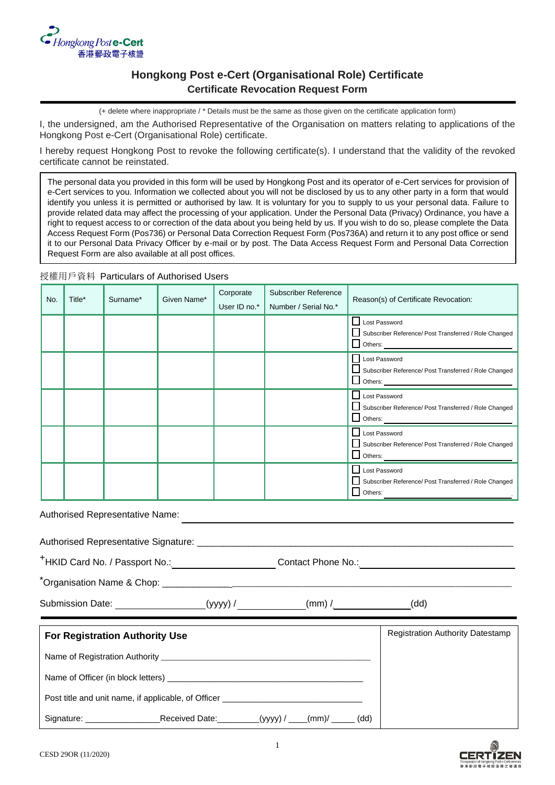

# **Hongkong Post e-Cert (Organisational Role) Certificate Certificate Revocation Request Form**

(+ delete where inappropriate / \* Details must be the same as those given on the certificate application form)

I, the undersigned, am the Authorised Representative of the Organisation on matters relating to applications of the Hongkong Post e-Cert (Organisational Role) certificate.

I hereby request Hongkong Post to revoke the following certificate(s). I understand that the validity of the revoked certificate cannot be reinstated.

The personal data you provided in this form will be used by Hongkong Post and its operator of e-Cert services for provision of e-Cert services to you. Information we collected about you will not be disclosed by us to any other party in a form that would identify you unless it is permitted or authorised by law. It is voluntary for you to supply to us your personal data. Failure to provide related data may affect the processing of your application. Under the Personal Data (Privacy) Ordinance, you have a right to request access to or correction of the data about you being held by us. If you wish to do so, please complete the Data Access Request Form (Pos736) or Personal Data Correction Request Form (Pos736A) and return it to any post office or send it to our Personal Data Privacy Officer by e-mail or by post. The Data Access Request Form and Personal Data Correction Request Form are also available at all post offices.

# 授權用戶資料 Particulars of Authorised Users

| No. | Title* | Surname* | Given Name* | Corporate<br>User ID no.* | <b>Subscriber Reference</b><br>Number / Serial No.* | Reason(s) of Certificate Revocation:                                                     |
|-----|--------|----------|-------------|---------------------------|-----------------------------------------------------|------------------------------------------------------------------------------------------|
|     |        |          |             |                           |                                                     | Lost Password<br>Subscriber Reference/ Post Transferred / Role Changed                   |
|     |        |          |             |                           |                                                     | Lost Password<br>Subscriber Reference/ Post Transferred / Role Changed                   |
|     |        |          |             |                           |                                                     | Lost Password<br>Subscriber Reference/ Post Transferred / Role Changed<br>$\Box$ Others: |
|     |        |          |             |                           |                                                     | Lost Password<br>Subscriber Reference/ Post Transferred / Role Changed<br>$\Box$ Others: |
|     |        |          |             |                           |                                                     | Lost Password<br>Subscriber Reference/ Post Transferred / Role Changed<br>$\Box$ Others: |

Authorised Representative Name:

| Authorised Representative Signature: |  |
|--------------------------------------|--|
|                                      |  |

+HKID Card No. / Passport No.: Contact Phone No.:

\*Organisation Name & Chop:

Submission Date: \_\_\_\_\_\_\_\_\_\_\_\_\_\_\_\_\_ (yyyy) / \_\_\_\_\_\_\_\_\_\_\_\_\_(mm) /\_\_\_\_\_\_\_\_\_\_\_\_\_\_\_(dd)

| <b>For Registration Authority Use</b>               | <b>Registration Authority Datestamp</b>                 |  |  |  |  |
|-----------------------------------------------------|---------------------------------------------------------|--|--|--|--|
|                                                     |                                                         |  |  |  |  |
|                                                     |                                                         |  |  |  |  |
| Post title and unit name, if applicable, of Officer |                                                         |  |  |  |  |
| Signature: _____________                            | _____Received Date:________(yyyy) / ___(mm)/ _____ (dd) |  |  |  |  |